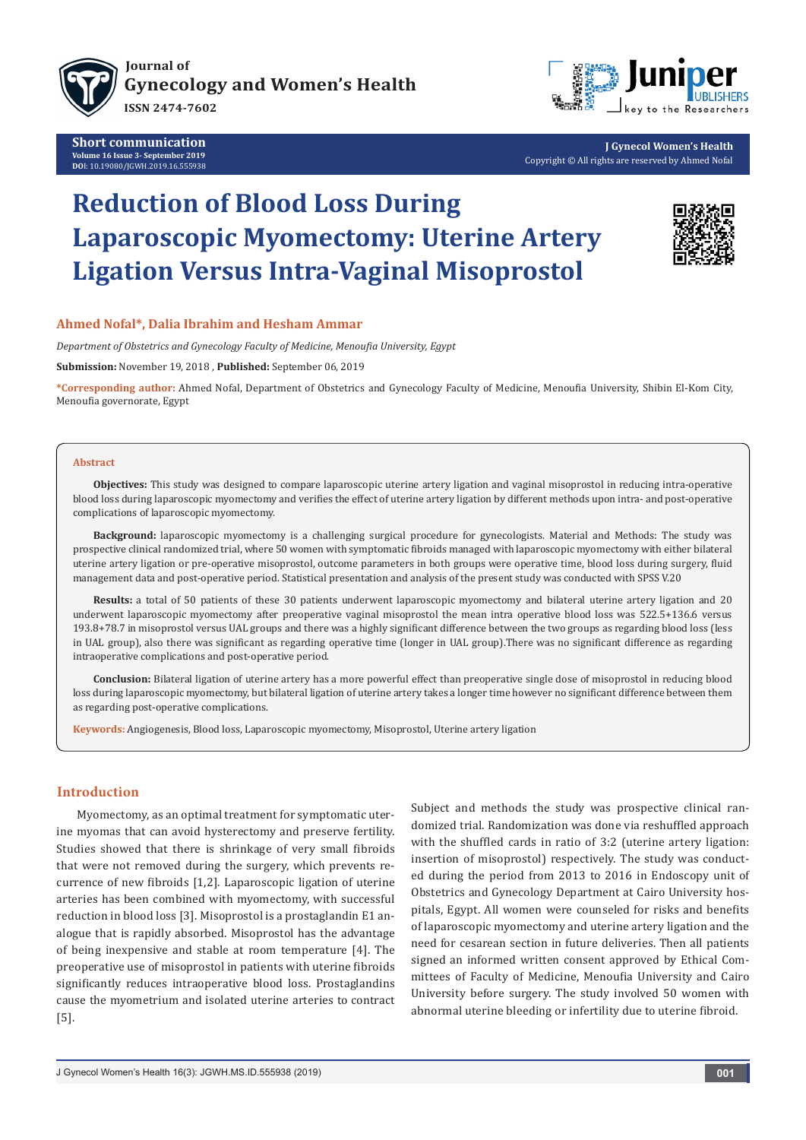

**Short communication Volume 16 Issue 3- September 2019 DO**I: [10.19080/JGWH.2019.16.555938](http://dx.doi.org/10.19080/JGWH.2019.16.555938)



**J Gynecol Women's Health** Copyright © All rights are reserved by Ahmed Nofal

# **Reduction of Blood Loss During Laparoscopic Myomectomy: Uterine Artery Ligation Versus Intra-Vaginal Misoprostol**



*Department of Obstetrics and Gynecology Faculty of Medicine, Menoufia University, Egypt*

**Submission:** November 19, 2018 , **Published:** September 06, 2019

**\*Corresponding author:** Ahmed Nofal, Department of Obstetrics and Gynecology Faculty of Medicine, Menoufia University, Shibin El-Kom City, Menoufia governorate, Egypt

#### **Abstract**

**Objectives:** This study was designed to compare laparoscopic uterine artery ligation and vaginal misoprostol in reducing intra-operative blood loss during laparoscopic myomectomy and verifies the effect of uterine artery ligation by different methods upon intra- and post-operative complications of laparoscopic myomectomy.

**Background:** laparoscopic myomectomy is a challenging surgical procedure for gynecologists. Material and Methods: The study was prospective clinical randomized trial, where 50 women with symptomatic fibroids managed with laparoscopic myomectomy with either bilateral uterine artery ligation or pre-operative misoprostol, outcome parameters in both groups were operative time, blood loss during surgery, fluid management data and post-operative period. Statistical presentation and analysis of the present study was conducted with SPSS V.20

**Results:** a total of 50 patients of these 30 patients underwent laparoscopic myomectomy and bilateral uterine artery ligation and 20 underwent laparoscopic myomectomy after preoperative vaginal misoprostol the mean intra operative blood loss was 522.5+136.6 versus 193.8+78.7 in misoprostol versus UAL groups and there was a highly significant difference between the two groups as regarding blood loss (less in UAL group), also there was significant as regarding operative time (longer in UAL group).There was no significant difference as regarding intraoperative complications and post-operative period.

**Conclusion:** Bilateral ligation of uterine artery has a more powerful effect than preoperative single dose of misoprostol in reducing blood loss during laparoscopic myomectomy, but bilateral ligation of uterine artery takes a longer time however no significant difference between them as regarding post-operative complications.

**Keywords:** Angiogenesis, Blood loss, Laparoscopic myomectomy, Misoprostol, Uterine artery ligation

# **Introduction**

Myomectomy, as an optimal treatment for symptomatic uterine myomas that can avoid hysterectomy and preserve fertility. Studies showed that there is shrinkage of very small fibroids that were not removed during the surgery, which prevents recurrence of new fibroids [1,2]. Laparoscopic ligation of uterine arteries has been combined with myomectomy, with successful reduction in blood loss [3]. Misoprostol is a prostaglandin E1 analogue that is rapidly absorbed. Misoprostol has the advantage of being inexpensive and stable at room temperature [4]. The preoperative use of misoprostol in patients with uterine fibroids significantly reduces intraoperative blood loss. Prostaglandins cause the myometrium and isolated uterine arteries to contract [5].

Subject and methods the study was prospective clinical randomized trial. Randomization was done via reshuffled approach with the shuffled cards in ratio of 3:2 (uterine artery ligation: insertion of misoprostol) respectively. The study was conducted during the period from 2013 to 2016 in Endoscopy unit of Obstetrics and Gynecology Department at Cairo University hospitals, Egypt. All women were counseled for risks and benefits of laparoscopic myomectomy and uterine artery ligation and the need for cesarean section in future deliveries. Then all patients signed an informed written consent approved by Ethical Committees of Faculty of Medicine, Menoufia University and Cairo University before surgery. The study involved 50 women with abnormal uterine bleeding or infertility due to uterine fibroid.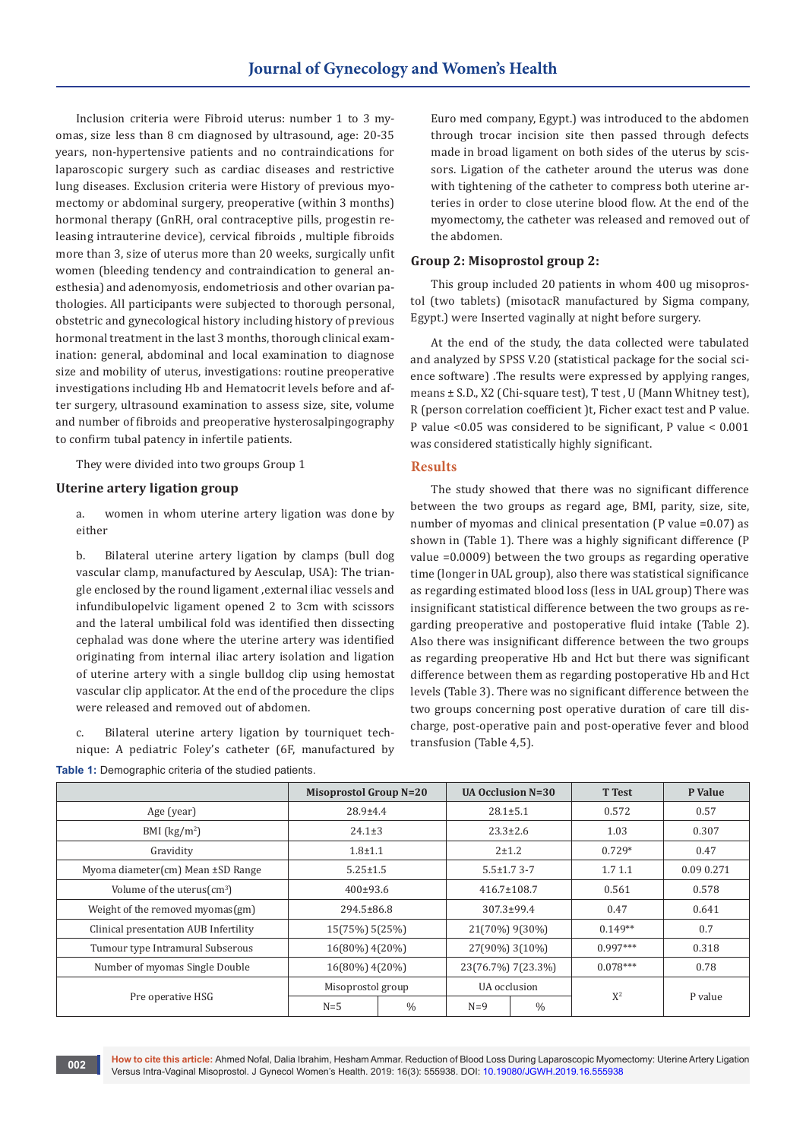Inclusion criteria were Fibroid uterus: number 1 to 3 myomas, size less than 8 cm diagnosed by ultrasound, age: 20-35 years, non-hypertensive patients and no contraindications for laparoscopic surgery such as cardiac diseases and restrictive lung diseases. Exclusion criteria were History of previous myomectomy or abdominal surgery, preoperative (within 3 months) hormonal therapy (GnRH, oral contraceptive pills, progestin releasing intrauterine device), cervical fibroids , multiple fibroids more than 3, size of uterus more than 20 weeks, surgically unfit women (bleeding tendency and contraindication to general anesthesia) and adenomyosis, endometriosis and other ovarian pathologies. All participants were subjected to thorough personal, obstetric and gynecological history including history of previous hormonal treatment in the last 3 months, thorough clinical examination: general, abdominal and local examination to diagnose size and mobility of uterus, investigations: routine preoperative investigations including Hb and Hematocrit levels before and after surgery, ultrasound examination to assess size, site, volume and number of fibroids and preoperative hysterosalpingography to confirm tubal patency in infertile patients.

They were divided into two groups Group 1

### **Uterine artery ligation group**

a. women in whom uterine artery ligation was done by either

b. Bilateral uterine artery ligation by clamps (bull dog vascular clamp, manufactured by Aesculap, USA): The triangle enclosed by the round ligament ,external iliac vessels and infundibulopelvic ligament opened 2 to 3cm with scissors and the lateral umbilical fold was identified then dissecting cephalad was done where the uterine artery was identified originating from internal iliac artery isolation and ligation of uterine artery with a single bulldog clip using hemostat vascular clip applicator. At the end of the procedure the clips were released and removed out of abdomen.

c. Bilateral uterine artery ligation by tourniquet technique: A pediatric Foley's catheter (6F, manufactured by **Table 1:** Demographic criteria of the studied patients.

Euro med company, Egypt.) was introduced to the abdomen through trocar incision site then passed through defects made in broad ligament on both sides of the uterus by scissors. Ligation of the catheter around the uterus was done with tightening of the catheter to compress both uterine arteries in order to close uterine blood flow. At the end of the myomectomy, the catheter was released and removed out of the abdomen.

### **Group 2: Misoprostol group 2:**

This group included 20 patients in whom 400 ug misoprostol (two tablets) (misotacR manufactured by Sigma company, Egypt.) were Inserted vaginally at night before surgery.

At the end of the study, the data collected were tabulated and analyzed by SPSS V.20 (statistical package for the social science software) .The results were expressed by applying ranges, means ± S.D., X2 (Chi-square test), T test , U (Mann Whitney test), R (person correlation coefficient )t, Ficher exact test and P value. P value <0.05 was considered to be significant, P value < 0.001 was considered statistically highly significant.

### **Results**

The study showed that there was no significant difference between the two groups as regard age, BMI, parity, size, site, number of myomas and clinical presentation (P value =0.07) as shown in (Table 1). There was a highly significant difference (P value =0.0009) between the two groups as regarding operative time (longer in UAL group), also there was statistical significance as regarding estimated blood loss (less in UAL group) There was insignificant statistical difference between the two groups as regarding preoperative and postoperative fluid intake (Table 2). Also there was insignificant difference between the two groups as regarding preoperative Hb and Hct but there was significant difference between them as regarding postoperative Hb and Hct levels (Table 3). There was no significant difference between the two groups concerning post operative duration of care till discharge, post-operative pain and post-operative fever and blood transfusion (Table 4,5).

|                                       | <b>Misoprostol Group N=20</b> |               | UA Occlusion $N=30$ |               | <b>T</b> Test | P Value    |
|---------------------------------------|-------------------------------|---------------|---------------------|---------------|---------------|------------|
| Age (year)                            | $28.9 \pm 4.4$                |               | $28.1 \pm 5.1$      |               | 0.572         | 0.57       |
| BMI $(kg/m2)$                         | $24.1 \pm 3$                  |               | $23.3 \pm 2.6$      |               | 1.03          | 0.307      |
| Gravidity                             | $1.8 + 1.1$                   |               | $2 + 1.2$           |               | $0.729*$      | 0.47       |
| Myoma diameter(cm) Mean ±SD Range     | $5.25 \pm 1.5$                |               | $5.5 \pm 1.73 - -7$ |               | 1.7 1.1       | 0.09 0.271 |
| Volume of the uterus $\text{cm}^3$ )  | $400\pm93.6$                  |               | $416.7 \pm 108.7$   |               | 0.561         | 0.578      |
| Weight of the removed myomas(gm)      | $294.5 \pm 86.8$              |               | $307.3 + 99.4$      |               | 0.47          | 0.641      |
| Clinical presentation AUB Infertility | 15(75%) 5(25%)                |               | 21(70%) 9(30%)      |               | $0.149**$     | 0.7        |
| Tumour type Intramural Subserous      | 16(80%) 4(20%)                |               | 27(90%) 3(10%)      |               | $0.997***$    | 0.318      |
| Number of myomas Single Double        | 16(80%) 4(20%)                |               | 23(76.7%) 7(23.3%)  |               | $0.078***$    | 0.78       |
|                                       | Misoprostol group             |               | UA occlusion        |               |               |            |
| Pre operative HSG                     | $N=5$                         | $\frac{0}{0}$ | $N=9$               | $\frac{0}{0}$ | $X^2$         | P value    |

**How to cite this article:** Ahmed Nofal, Dalia Ibrahim, Hesham Ammar. Reduction of Blood Loss During Laparoscopic Myomectomy: Uterine Artery Ligation Versus Intra-Vaginal Misoprostol. J Gynecol Women's Health. 2019: 16(3): 555938. DOI: [10.19080/JGWH.2019.16.555938](http://dx.doi.org/10.19080/JGWH.2019.16.555938) **<sup>002</sup>**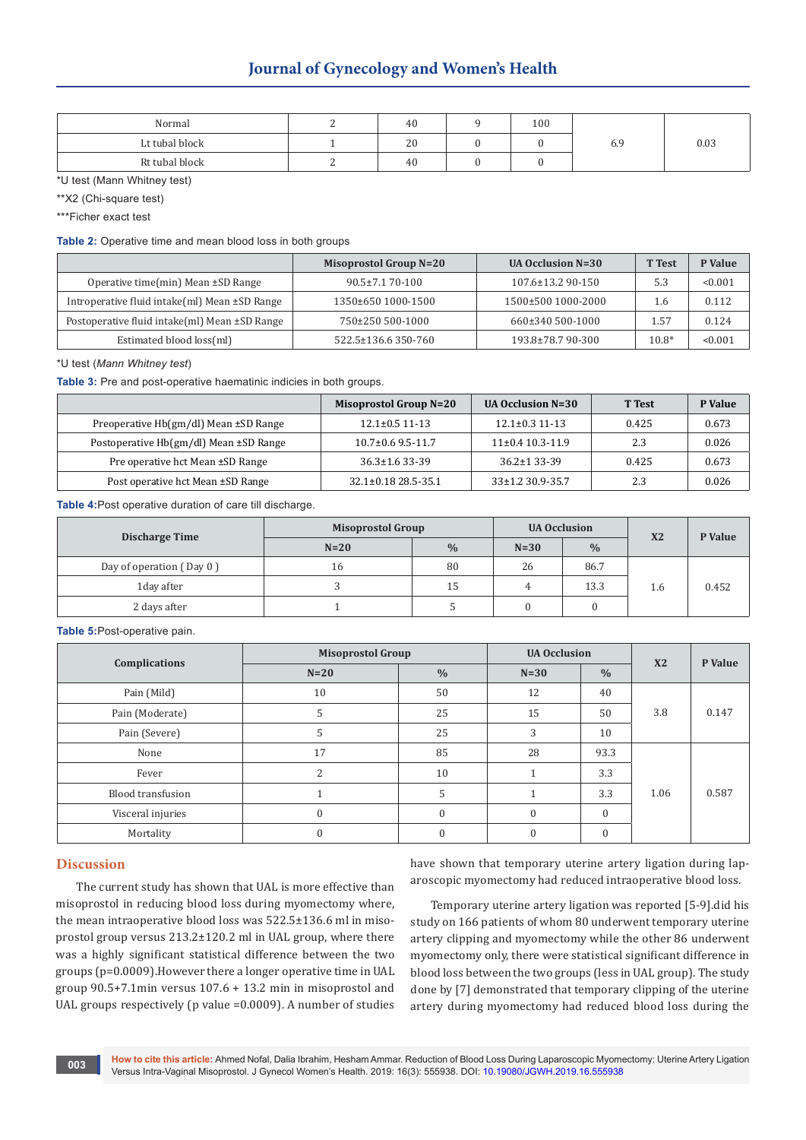# **Journal of Gynecology and Women's Health**

| Normal         | 40 | 100 | 0.5 | 0.03 |
|----------------|----|-----|-----|------|
| Lt tubal block | 20 |     |     |      |
| Rt tubal block | 40 |     |     |      |

\*U test (Mann Whitney test)

\*\*X2 (Chi-square test)

\*\*\*Ficher exact test

**Table 2:** Operative time and mean blood loss in both groups

|                                                             | <b>Misoprostol Group N=20</b> | UA Occlusion $N=30$ | <b>T</b> Test | P Value |
|-------------------------------------------------------------|-------------------------------|---------------------|---------------|---------|
| Operative time(min) Mean ±SD Range                          | $90.5 \pm 7.170 - 100$        | 107.6±13.2 90-150   | 5.3           | < 0.001 |
| Introperative fluid intake $\text{m}$ ) Mean $\pm$ SD Range | 1350±650 1000-1500            | 1500±500 1000-2000  | 1.6           | 0.112   |
| Postoperative fluid intake(ml) Mean ±SD Range               | 750±250 500-1000              | 660±340 500-1000    | 1.57          | 0.124   |
| Estimated blood loss(ml)                                    | 522.5±136.6350-760            | 193.8±78.7 90-300   | $10.8*$       | < 0.001 |

\*U test (*Mann Whitney test*)

**Table 3:** Pre and post-operative haematinic indicies in both groups.

|                                        | Misoprostol Group $N=20$   | UA Occlusion $N=30$   | <b>T</b> Test | P Value |
|----------------------------------------|----------------------------|-----------------------|---------------|---------|
| Preoperative Hb(gm/dl) Mean ±SD Range  | $12.1 \pm 0.5$ 11-13       | $12.1 \pm 0.311 - 13$ | 0.425         | 0.673   |
| Postoperative Hb(gm/dl) Mean ±SD Range | $10.7\pm0.6$ 9.5-11.7      | $11\pm0.4$ 10.3-11.9  | 2.3           | 0.026   |
| Pre operative hct Mean ±SD Range       | $36.3 \pm 1.633 - 39$      | $36.2 \pm 133 - 39$   | 0.425         | 0.673   |
| Post operative hct Mean ±SD Range      | $32.1 \pm 0.1828.5 - 35.1$ | 33±1.2 30.9-35.7      | 2.3           | 0.026   |

**Table 4:**Post operative duration of care till discharge.

|                          |        | <b>Misoprostol Group</b> |        | <b>UA Occlusion</b> |                | P Value |
|--------------------------|--------|--------------------------|--------|---------------------|----------------|---------|
| <b>Discharge Time</b>    | $N=20$ | $\frac{0}{0}$            | $N=30$ | $\frac{0}{0}$       | X <sub>2</sub> |         |
| Day of operation (Day 0) | 16     | 80                       | 26     | 86.7                | 1.6            | 0.452   |
| 1 day after              |        | 15                       |        | 13.3                |                |         |
| 2 days after             |        |                          |        |                     |                |         |

**Table 5:**Post-operative pain.

| <b>Complications</b> | <b>Misoprostol Group</b> |               | <b>UA Occlusion</b> |               | X <sub>2</sub> | P Value |
|----------------------|--------------------------|---------------|---------------------|---------------|----------------|---------|
|                      | $N=20$                   | $\frac{0}{0}$ | $N=30$              | $\frac{0}{0}$ |                |         |
| Pain (Mild)          | 10                       | 50            | 12                  | 40            |                |         |
| Pain (Moderate)      | 5                        | 25            | 15                  | 50            | 3.8            | 0.147   |
| Pain (Severe)        | 5                        | 25            | 3                   | 10            |                |         |
| None                 | 17                       | 85            | 28                  | 93.3          |                |         |
| Fever                | 2                        | 10            |                     | 3.3           |                |         |
| Blood transfusion    |                          | 5             |                     | 3.3           | 1.06           | 0.587   |
| Visceral injuries    | $\mathbf{0}$             | $\Omega$      | $\Omega$            | $\Omega$      |                |         |
| Mortality            | $\mathbf{0}$             | $\Omega$      | $\Omega$            | $\Omega$      |                |         |

## **Discussion**

The current study has shown that UAL is more effective than misoprostol in reducing blood loss during myomectomy where, the mean intraoperative blood loss was 522.5±136.6 ml in misoprostol group versus 213.2±120.2 ml in UAL group, where there was a highly significant statistical difference between the two groups (p=0.0009).However there a longer operative time in UAL group 90.5+7.1min versus 107.6 + 13.2 min in misoprostol and UAL groups respectively (p value =0.0009). A number of studies

have shown that temporary uterine artery ligation during laparoscopic myomectomy had reduced intraoperative blood loss.

Temporary uterine artery ligation was reported [5-9].did his study on 166 patients of whom 80 underwent temporary uterine artery clipping and myomectomy while the other 86 underwent myomectomy only, there were statistical significant difference in blood loss between the two groups (less in UAL group). The study done by [7] demonstrated that temporary clipping of the uterine artery during myomectomy had reduced blood loss during the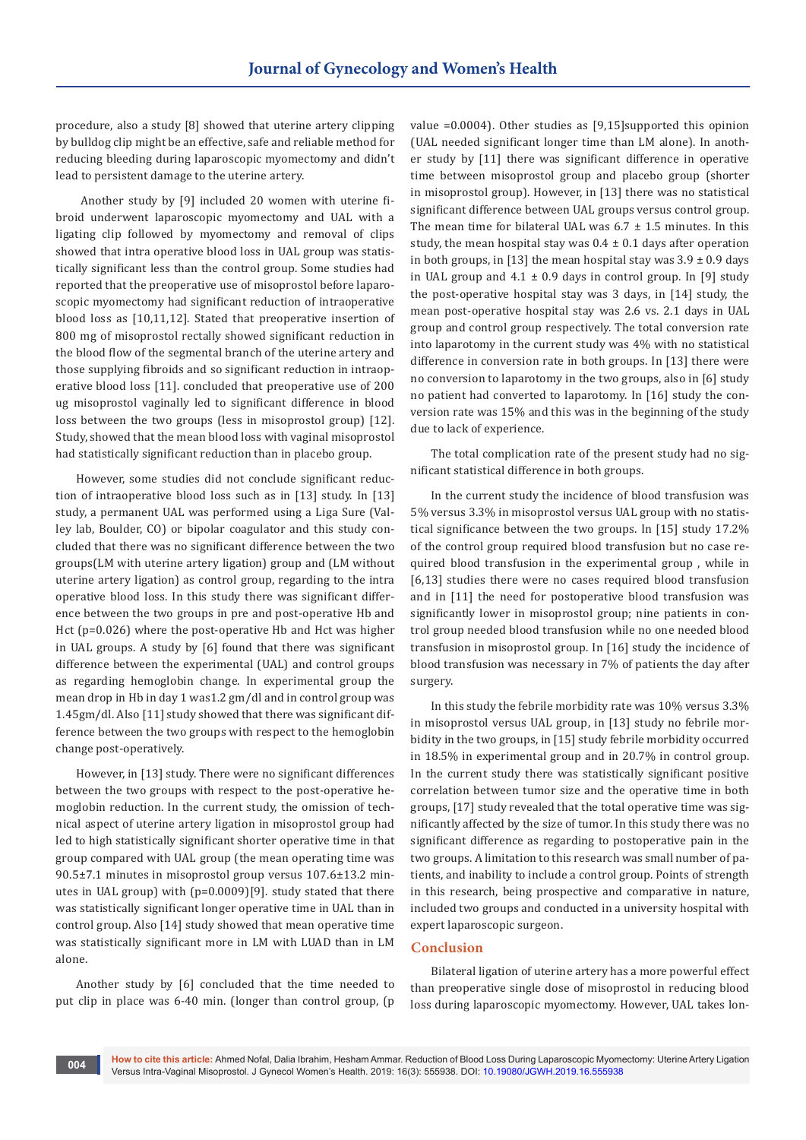procedure, also a study [8] showed that uterine artery clipping by bulldog clip might be an effective, safe and reliable method for reducing bleeding during laparoscopic myomectomy and didn't lead to persistent damage to the uterine artery.

 Another study by [9] included 20 women with uterine fibroid underwent laparoscopic myomectomy and UAL with a ligating clip followed by myomectomy and removal of clips showed that intra operative blood loss in UAL group was statistically significant less than the control group. Some studies had reported that the preoperative use of misoprostol before laparoscopic myomectomy had significant reduction of intraoperative blood loss as [10,11,12]. Stated that preoperative insertion of 800 mg of misoprostol rectally showed significant reduction in the blood flow of the segmental branch of the uterine artery and those supplying fibroids and so significant reduction in intraoperative blood loss [11]. concluded that preoperative use of 200 ug misoprostol vaginally led to significant difference in blood loss between the two groups (less in misoprostol group) [12]. Study, showed that the mean blood loss with vaginal misoprostol had statistically significant reduction than in placebo group.

However, some studies did not conclude significant reduction of intraoperative blood loss such as in [13] study. In [13] study, a permanent UAL was performed using a Liga Sure (Valley lab, Boulder, CO) or bipolar coagulator and this study concluded that there was no significant difference between the two groups(LM with uterine artery ligation) group and (LM without uterine artery ligation) as control group, regarding to the intra operative blood loss. In this study there was significant difference between the two groups in pre and post-operative Hb and Hct (p=0.026) where the post-operative Hb and Hct was higher in UAL groups. A study by [6] found that there was significant difference between the experimental (UAL) and control groups as regarding hemoglobin change. In experimental group the mean drop in Hb in day 1 was1.2 gm/dl and in control group was 1.45gm/dl. Also [11] study showed that there was significant difference between the two groups with respect to the hemoglobin change post-operatively.

However, in [13] study. There were no significant differences between the two groups with respect to the post-operative hemoglobin reduction. In the current study, the omission of technical aspect of uterine artery ligation in misoprostol group had led to high statistically significant shorter operative time in that group compared with UAL group (the mean operating time was 90.5±7.1 minutes in misoprostol group versus 107.6±13.2 minutes in UAL group) with (p=0.0009)[9]. study stated that there was statistically significant longer operative time in UAL than in control group. Also [14] study showed that mean operative time was statistically significant more in LM with LUAD than in LM alone.

Another study by [6] concluded that the time needed to put clip in place was 6-40 min. (longer than control group, (p

value =0.0004). Other studies as [9,15]supported this opinion (UAL needed significant longer time than LM alone). In another study by [11] there was significant difference in operative time between misoprostol group and placebo group (shorter in misoprostol group). However, in [13] there was no statistical significant difference between UAL groups versus control group. The mean time for bilateral UAL was  $6.7 \pm 1.5$  minutes. In this study, the mean hospital stay was  $0.4 \pm 0.1$  days after operation in both groups, in [13] the mean hospital stay was  $3.9 \pm 0.9$  days in UAL group and  $4.1 \pm 0.9$  days in control group. In [9] study the post-operative hospital stay was 3 days, in [14] study, the mean post-operative hospital stay was 2.6 vs. 2.1 days in UAL group and control group respectively. The total conversion rate into laparotomy in the current study was 4% with no statistical difference in conversion rate in both groups. In [13] there were no conversion to laparotomy in the two groups, also in [6] study no patient had converted to laparotomy. In [16] study the conversion rate was 15% and this was in the beginning of the study due to lack of experience.

The total complication rate of the present study had no significant statistical difference in both groups.

In the current study the incidence of blood transfusion was 5% versus 3.3% in misoprostol versus UAL group with no statistical significance between the two groups. In [15] study 17.2% of the control group required blood transfusion but no case required blood transfusion in the experimental group , while in [6,13] studies there were no cases required blood transfusion and in [11] the need for postoperative blood transfusion was significantly lower in misoprostol group; nine patients in control group needed blood transfusion while no one needed blood transfusion in misoprostol group. In [16] study the incidence of blood transfusion was necessary in 7% of patients the day after surgery.

In this study the febrile morbidity rate was 10% versus 3.3% in misoprostol versus UAL group, in [13] study no febrile morbidity in the two groups, in [15] study febrile morbidity occurred in 18.5% in experimental group and in 20.7% in control group. In the current study there was statistically significant positive correlation between tumor size and the operative time in both groups, [17] study revealed that the total operative time was significantly affected by the size of tumor. In this study there was no significant difference as regarding to postoperative pain in the two groups. A limitation to this research was small number of patients, and inability to include a control group. Points of strength in this research, being prospective and comparative in nature, included two groups and conducted in a university hospital with expert laparoscopic surgeon.

## **Conclusion**

Bilateral ligation of uterine artery has a more powerful effect than preoperative single dose of misoprostol in reducing blood loss during laparoscopic myomectomy. However, UAL takes lon